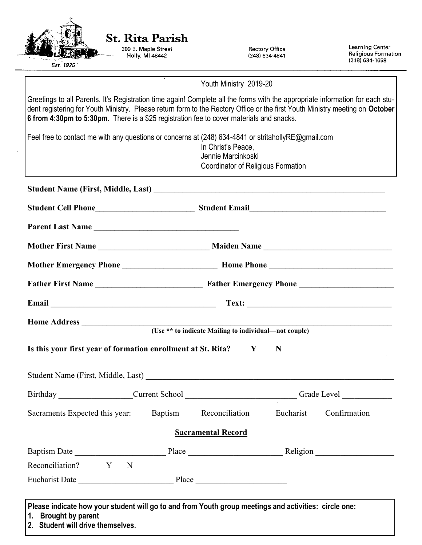| <b>St. Rita Parish</b><br>309 E. Maple Street<br>Holly, MI 48442                                                                                                                                                                                                                                                                                          | <b>Rectory Office</b><br>(248) 634-4841                                        | Learning Center<br><b>Religious Formation</b>                                                                                                                                                                                  |  |
|-----------------------------------------------------------------------------------------------------------------------------------------------------------------------------------------------------------------------------------------------------------------------------------------------------------------------------------------------------------|--------------------------------------------------------------------------------|--------------------------------------------------------------------------------------------------------------------------------------------------------------------------------------------------------------------------------|--|
| Est. 1925                                                                                                                                                                                                                                                                                                                                                 |                                                                                | (248) 634-1658                                                                                                                                                                                                                 |  |
|                                                                                                                                                                                                                                                                                                                                                           | Youth Ministry 2019-20                                                         |                                                                                                                                                                                                                                |  |
| Greetings to all Parents. It's Registration time again! Complete all the forms with the appropriate information for each stu-<br>dent registering for Youth Ministry. Please return form to the Rectory Office or the first Youth Ministry meeting on October<br>6 from 4:30pm to 5:30pm. There is a \$25 registration fee to cover materials and snacks. |                                                                                |                                                                                                                                                                                                                                |  |
| Feel free to contact me with any questions or concerns at (248) 634-4841 or stritahollyRE@gmail.com                                                                                                                                                                                                                                                       | In Christ's Peace,<br>Jennie Marcinkoski<br>Coordinator of Religious Formation |                                                                                                                                                                                                                                |  |
|                                                                                                                                                                                                                                                                                                                                                           |                                                                                |                                                                                                                                                                                                                                |  |
|                                                                                                                                                                                                                                                                                                                                                           |                                                                                |                                                                                                                                                                                                                                |  |
| Parent Last Name                                                                                                                                                                                                                                                                                                                                          |                                                                                |                                                                                                                                                                                                                                |  |
|                                                                                                                                                                                                                                                                                                                                                           |                                                                                |                                                                                                                                                                                                                                |  |
|                                                                                                                                                                                                                                                                                                                                                           |                                                                                |                                                                                                                                                                                                                                |  |
|                                                                                                                                                                                                                                                                                                                                                           |                                                                                |                                                                                                                                                                                                                                |  |
|                                                                                                                                                                                                                                                                                                                                                           |                                                                                |                                                                                                                                                                                                                                |  |
| <b>Home Address</b>                                                                                                                                                                                                                                                                                                                                       |                                                                                |                                                                                                                                                                                                                                |  |
|                                                                                                                                                                                                                                                                                                                                                           | (Use ** to indicate Mailing to individual—not couple)                          |                                                                                                                                                                                                                                |  |
| Is this your first year of formation enrollment at St. Rita? Y                                                                                                                                                                                                                                                                                            | N                                                                              |                                                                                                                                                                                                                                |  |
|                                                                                                                                                                                                                                                                                                                                                           |                                                                                |                                                                                                                                                                                                                                |  |
|                                                                                                                                                                                                                                                                                                                                                           |                                                                                | Birthday Current School Current School Current School Current School Current School Current School Current School Current School Current School Current School Current School Current School Current School Current School Cur |  |
| Sacraments Expected this year: Baptism Reconciliation Eucharist Confirmation                                                                                                                                                                                                                                                                              |                                                                                |                                                                                                                                                                                                                                |  |
|                                                                                                                                                                                                                                                                                                                                                           | <b>Sacramental Record</b>                                                      |                                                                                                                                                                                                                                |  |
|                                                                                                                                                                                                                                                                                                                                                           |                                                                                |                                                                                                                                                                                                                                |  |
| Reconciliation? Y N                                                                                                                                                                                                                                                                                                                                       |                                                                                |                                                                                                                                                                                                                                |  |
|                                                                                                                                                                                                                                                                                                                                                           |                                                                                |                                                                                                                                                                                                                                |  |
|                                                                                                                                                                                                                                                                                                                                                           |                                                                                |                                                                                                                                                                                                                                |  |

 $\mathcal{A}^{\mathcal{A}}$